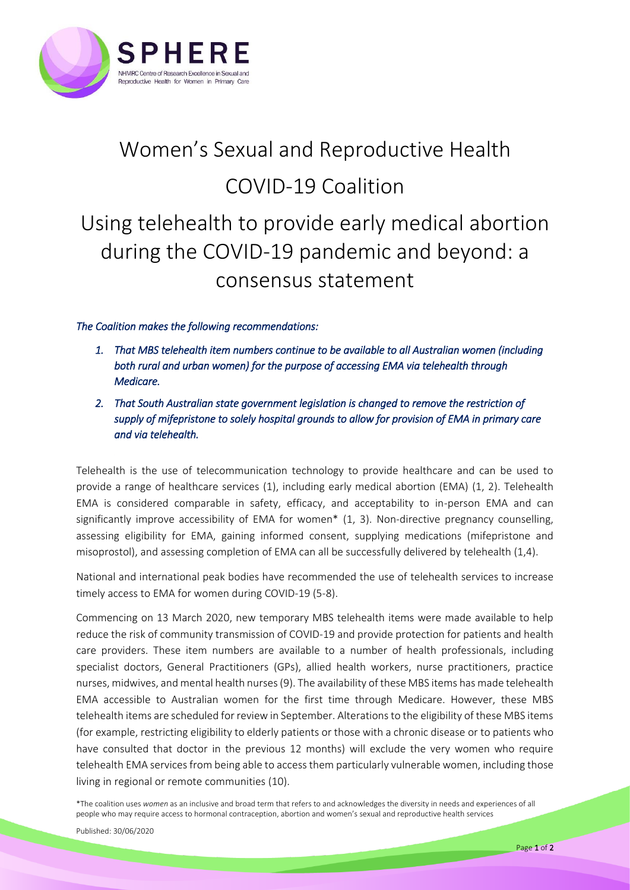

## Women's Sexual and Reproductive Health COVID-19 Coalition Using telehealth to provide early medical abortion during the COVID-19 pandemic and beyond: a consensus statement

## *The Coalition makes the following recommendations:*

- *1. That MBS telehealth item numbers continue to be available to all Australian women (including both rural and urban women) for the purpose of accessing EMA via telehealth through Medicare.*
- *2. That South Australian state government legislation is changed to remove the restriction of supply of mifepristone to solely hospital grounds to allow for provision of EMA in primary care and via telehealth.*

Telehealth is the use of telecommunication technology to provide healthcare and can be used to provide a range of healthcare services (1), including early medical abortion (EMA) (1, 2). Telehealth EMA is considered comparable in safety, efficacy, and acceptability to in-person EMA and can significantly improve accessibility of EMA for women\* (1, 3). Non-directive pregnancy counselling, assessing eligibility for EMA, gaining informed consent, supplying medications (mifepristone and misoprostol), and assessing completion of EMA can all be successfully delivered by telehealth (1,4).

National and international peak bodies have recommended the use of telehealth services to increase timely access to EMA for women during COVID-19 (5-8).

Commencing on 13 March 2020, new temporary MBS telehealth items were made available to help reduce the risk of community transmission of COVID-19 and provide protection for patients and health care providers. These item numbers are available to a number of health professionals, including specialist doctors, General Practitioners (GPs), allied health workers, nurse practitioners, practice nurses, midwives, and mental health nurses (9). The availability of these MBS items has made telehealth EMA accessible to Australian women for the first time through Medicare. However, these MBS telehealth items are scheduled for review in September. Alterations to the eligibility of these MBS items (for example, restricting eligibility to elderly patients or those with a chronic disease or to patients who have consulted that doctor in the previous 12 months) will exclude the very women who require telehealth EMA services from being able to access them particularly vulnerable women, including those living in regional or remote communities (10).

\*The coalition uses *women* as an inclusive and broad term that refers to and acknowledges the diversity in needs and experiences of all people who may require access to hormonal contraception, abortion and women's sexual and reproductive health services